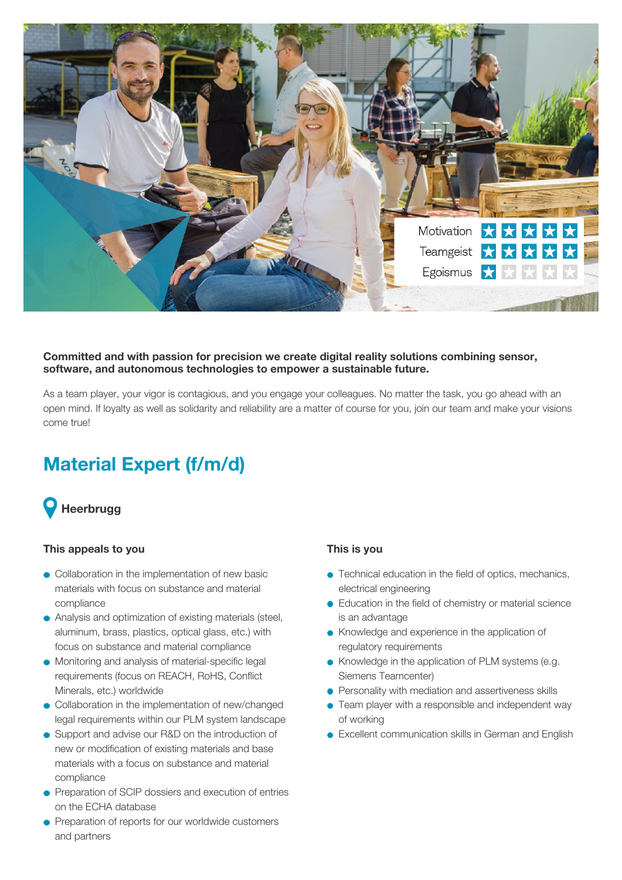

#### **Committed and with passion for precision we create digital reality solutions combining sensor, software, and autonomous technologies to empower a sustainable future.**

As a team player, your vigor is contagious, and you engage your colleagues. No matter the task, you go ahead with an open mind. If loyalty as well as solidarity and reliability are a matter of course for you, join our team and make your visions come true!

# **Material Expert (f/m/d)**



#### **This appeals to you**

- Collaboration in the implementation of new basic materials with focus on substance and material compliance
- Analysis and optimization of existing materials (steel, aluminum, brass, plastics, optical glass, etc.) with focus on substance and material compliance
- Monitoring and analysis of material-specific legal requirements (focus on REACH, RoHS, Conflict Minerals, etc.) worldwide
- Collaboration in the implementation of new/changed legal requirements within our PLM system landscape
- Support and advise our R&D on the introduction of new or modification of existing materials and base materials with a focus on substance and material compliance
- **•** Preparation of SCIP dossiers and execution of entries on the ECHA database
- **•** Preparation of reports for our worldwide customers and partners

## **This is you**

- Technical education in the field of optics, mechanics, electrical engineering
- **Education in the field of chemistry or material science** is an advantage
- Knowledge and experience in the application of regulatory requirements
- Knowledge in the application of PLM systems (e.g. Siemens Teamcenter)
- **•** Personality with mediation and assertiveness skills
- Team player with a responsible and independent way of working
- **Excellent communication skills in German and English**